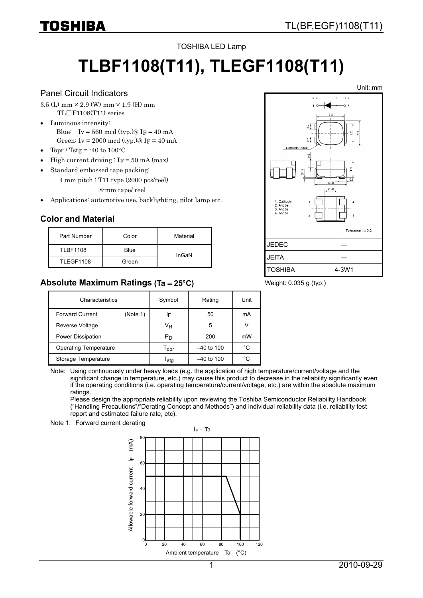#### TOSHIBA LED Lamp

# **TLBF1108(T11), TLEGF1108(T11)**

#### Panel Circuit Indicators

IOSHIBA

- $3.5$  (L) mm  $\times$  2.9 (W) mm  $\times$  1.9 (H) mm TL□F1108(T11) series
- Luminous intensity: Blue: Iv = 560 mcd (typ.)@ IF = 40 mA Green: Iv = 2000 mcd (typ.)@ IF = 40 mA
- Topr / Tstg =  $-40$  to  $100^{\circ}$ C
- High current driving  $\cdot$  IF = 50 mA (max)
- Standard embossed tape packing:
	- 4 mm pitch : T11 type (2000 pcs/reel) 8-mm tape/ reel
- Applications: automotive use, backlighting, pilot lamp etc.

#### **Color and Material**

| Part Number      | Color | Material |
|------------------|-------|----------|
| <b>TLBF1108</b>  | Blue  | InGaN    |
| <b>TLEGF1108</b> | Green |          |

#### **Absolute Maximum Ratings (Ta** = **25°C)**

| Characteristics              |          | Symbol                      | Rating       | Unit |
|------------------------------|----------|-----------------------------|--------------|------|
| <b>Forward Current</b>       | (Note 1) | ΙF                          | 50           | mA   |
| Reverse Voltage              |          | VŖ                          | 5            |      |
| Power Dissipation            |          | Pn                          | 200          | mW   |
| <b>Operating Temperature</b> |          | $\mathsf{T}_{\mathsf{OPT}}$ | $-40$ to 100 | °C   |
| Storage Temperature          |          | $\mathsf{T}_{\mathsf{stq}}$ | $-40$ to 100 | °C   |

Note: Using continuously under heavy loads (e.g. the application of high temperature/current/voltage and the significant change in temperature, etc.) may cause this product to decrease in the reliability significantly even if the operating conditions (i.e. operating temperature/current/voltage, etc.) are within the absolute maximum ratings.

Please design the appropriate reliability upon reviewing the Toshiba Semiconductor Reliability Handbook ("Handling Precautions"/"Derating Concept and Methods") and individual reliability data (i.e. reliability test report and estimated failure rate, etc).

#### Note 1: Forward current derating

 $I_F$  – Ta 80 Allowable forward current  $|F \n<sub>1</sub>$  (mA)  $(mA)$ 프 **60** Allowable forward current  $40$  $\overline{2}$ ້ເ 20 40 600 80 100 120 Ambient temperature Ta (°C)



Weight: 0.035 g (typ.)

Unit: mm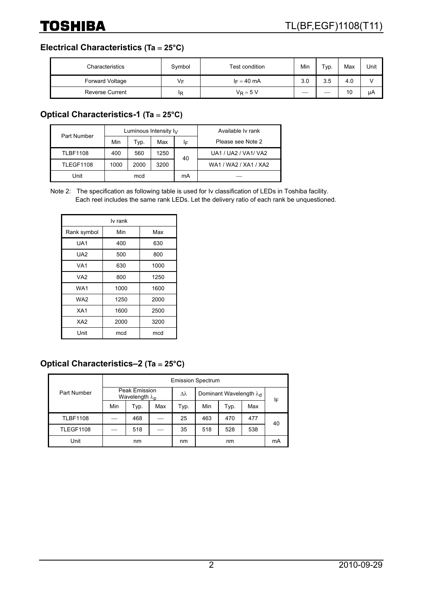## **Electrical Characteristics (Ta** = **25°C)**

| Characteristics        | Symbol | Test condition | Min | $\tau_{VD}$ . | Max | Unit |
|------------------------|--------|----------------|-----|---------------|-----|------|
| Forward Voltage        | V⊧     | $I_F = 40$ mA  | 3.0 | 3.5           | 4.0 |      |
| <b>Reverse Current</b> | ΙR     | $V_R = 5 V$    |     |               | 10  | μA   |

## **Optical Characteristics-1 (Ta** = **25°C)**

| Part Number      |      |      | Luminous Intensity $I_V$ | Available Iv rank |                       |
|------------------|------|------|--------------------------|-------------------|-----------------------|
|                  | Min  | Typ. | Max                      | ΙF                | Please see Note 2     |
| <b>TLBF1108</b>  | 400  | 560  | 1250                     | 40                | UA1 / UA2 / VA1/ VA2  |
| <b>TLEGF1108</b> | 1000 | 2000 | 3200                     |                   | WA1 / WA2 / XA1 / XA2 |
| Unit             | mcd  |      |                          | mA                |                       |

Note 2: The specification as following table is used for Iv classification of LEDs in Toshiba facility. Each reel includes the same rank LEDs. Let the delivery ratio of each rank be unquestioned.

| lv rank         |      |      |  |  |  |
|-----------------|------|------|--|--|--|
| Rank symbol     | Min  | Max  |  |  |  |
| UA1             | 400  | 630  |  |  |  |
| UA <sub>2</sub> | 500  | 800  |  |  |  |
| VA1             | 630  | 1000 |  |  |  |
| VA <sub>2</sub> | 800  | 1250 |  |  |  |
| WA1             | 1000 | 1600 |  |  |  |
| WA2             | 1250 | 2000 |  |  |  |
| XA <sub>1</sub> | 1600 | 2500 |  |  |  |
| XA <sub>2</sub> | 2000 | 3200 |  |  |  |
| Unit            | mcd  | mcd  |  |  |  |

## **Optical Characteristics–2 (Ta** = **25°C)**

|                  | <b>Emission Spectrum</b>                  |      |     |                                   |     |      |     |    |
|------------------|-------------------------------------------|------|-----|-----------------------------------|-----|------|-----|----|
| Part Number      | Peak Emission<br>Wavelength $\lambda_{p}$ |      | Δλ  | Dominant Wavelength $\lambda_{d}$ |     | IF   |     |    |
|                  | Min                                       | Typ. | Max | Typ.                              | Min | Typ. | Max |    |
| <b>TLBF1108</b>  |                                           | 468  |     | 25                                | 463 | 470  | 477 | 40 |
| <b>TLEGF1108</b> |                                           | 518  |     | 35                                | 518 | 528  | 538 |    |
| Unit             | nm                                        |      | nm  |                                   | nm  |      | mA  |    |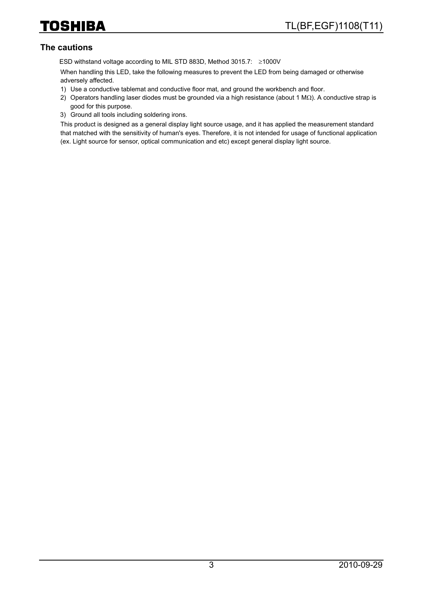### **The cautions**

ESD withstand voltage according to MIL STD 883D, Method 3015.7: ≥1000V

When handling this LED, take the following measures to prevent the LED from being damaged or otherwise adversely affected.

- 1) Use a conductive tablemat and conductive floor mat, and ground the workbench and floor.
- 2) Operators handling laser diodes must be grounded via a high resistance (about 1 MΩ). A conductive strap is good for this purpose.
- 3) Ground all tools including soldering irons.

This product is designed as a general display light source usage, and it has applied the measurement standard that matched with the sensitivity of human's eyes. Therefore, it is not intended for usage of functional application (ex. Light source for sensor, optical communication and etc) except general display light source.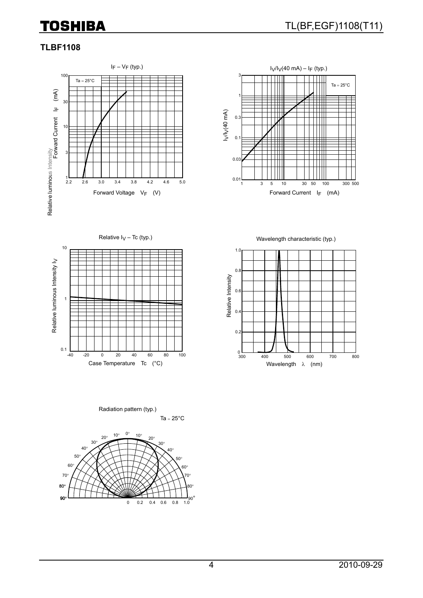## **TOSHIBA**

## **TLBF1108**







Relative  $I_V - Tc$  (typ.)  $Wa$ velength characteristic (typ.)



Ta =  $25^{\circ}$ C Radiation pattern (typ.)

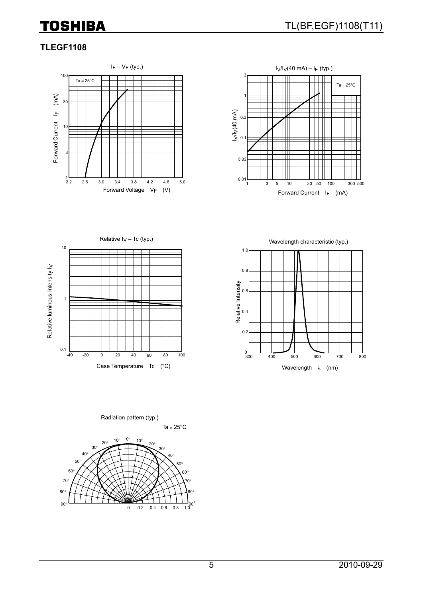## **TOSHIBA**

## **TLEGF1108**





-40 -20 0 20 40 60 80 100 10 1 0.1 Relative  $I_V - Tc$  (typ.) Relative Iv – Tc (typ.) Relative luminous Intensity I Relative luminous Intensity I<sub>V</sub>



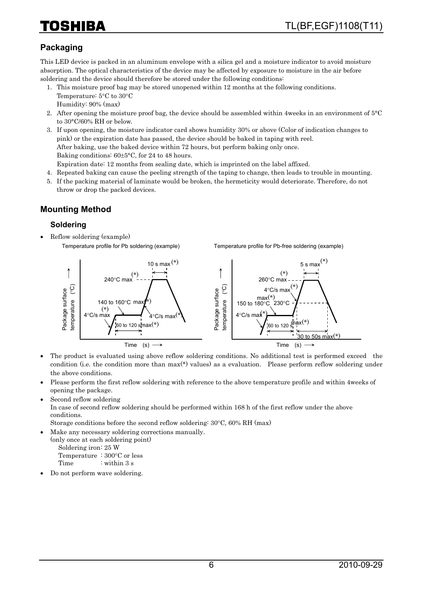## 1874

## **Packaging**

This LED device is packed in an aluminum envelope with a silica gel and a moisture indicator to avoid moisture absorption. The optical characteristics of the device may be affected by exposure to moisture in the air before soldering and the device should therefore be stored under the following conditions:

- 1. This moisture proof bag may be stored unopened within 12 months at the following conditions. Temperature: 5°C to 30°C Humidity: 90% (max)
- 2. After opening the moisture proof bag, the device should be assembled within 4weeks in an environment of 5°C to 30°C/60% RH or below.
- 3. If upon opening, the moisture indicator card shows humidity 30% or above (Color of indication changes to pink) or the expiration date has passed, the device should be baked in taping with reel. After baking, use the baked device within 72 hours, but perform baking only once. Baking conditions: 60±5°C, for 24 to 48 hours. Expiration date: 12 months from sealing date, which is imprinted on the label affixed.
- 4. Repeated baking can cause the peeling strength of the taping to change, then leads to trouble in mounting.
- 5. If the packing material of laminate would be broken, the hermeticity would deteriorate. Therefore, do not throw or drop the packed devices.

## **Mounting Method**

#### **Soldering**

• Reflow soldering (example) Temperature profile for Pb soldering (example)

Temperature profile for Pb-free soldering (example)



- The product is evaluated using above reflow soldering conditions. No additional test is performed exceed the condition (i.e. the condition more than max(\*) values) as a evaluation. Please perform reflow soldering under the above conditions.
- Please perform the first reflow soldering with reference to the above temperature profile and within 4weeks of opening the package.
- Second reflow soldering

In case of second reflow soldering should be performed within 168 h of the first reflow under the above conditions.

Storage conditions before the second reflow soldering: 30°C, 60% RH (max)

• Make any necessary soldering corrections manually.

(only once at each soldering point) Soldering iron: 25 W

 Temperature : 300°C or less Time : within 3 s

• Do not perform wave soldering.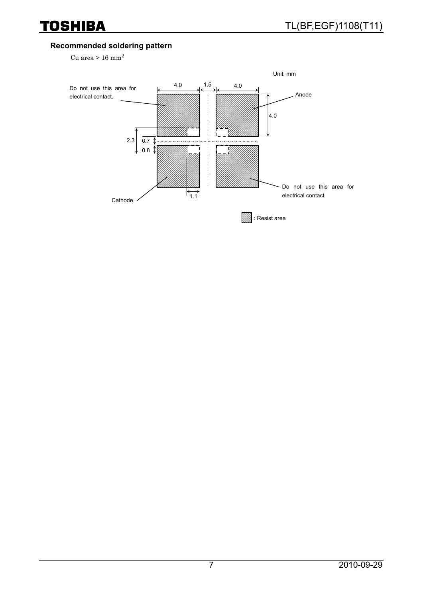## **Recommended soldering pattern**

Cu area  $> 16$  mm<sup>2</sup>

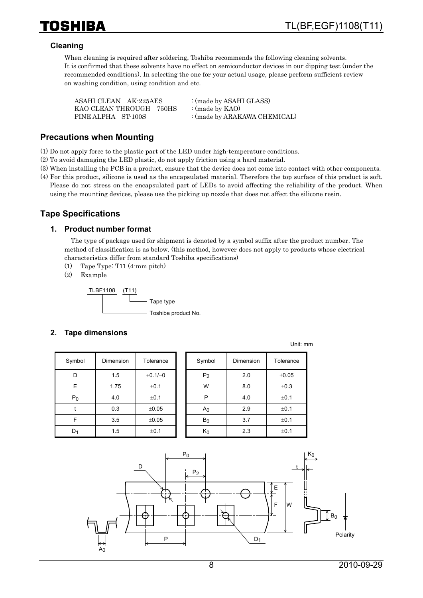#### **Cleaning**

When cleaning is required after soldering, Toshiba recommends the following cleaning solvents. It is confirmed that these solvents have no effect on semiconductor devices in our dipping test (under the recommended conditions). In selecting the one for your actual usage, please perform sufficient review on washing condition, using condition and etc.

| ASAHI CLEAN AK-225AES   | : (made by ASAHI GLASS)      |
|-------------------------|------------------------------|
| KAO CLEAN THROUGH 750HS | : (made by $KAO$ )           |
| PINE ALPHA ST-100S      | : (made by ARAKAWA CHEMICAL) |

#### **Precautions when Mounting**

(1) Do not apply force to the plastic part of the LED under high-temperature conditions.

- (2) To avoid damaging the LED plastic, do not apply friction using a hard material.
- (3) When installing the PCB in a product, ensure that the device does not come into contact with other components.
- (4) For this product, silicone is used as the encapsulated material. Therefore the top surface of this product is soft. Please do not stress on the encapsulated part of LEDs to avoid affecting the reliability of the product. When using the mounting devices, please use the picking up nozzle that does not affect the silicone resin.

## **Tape Specifications**

#### **1. Product number format**

The type of package used for shipment is denoted by a symbol suffix after the product number. The method of classification is as below. (this method, however does not apply to products whose electrical characteristics differ from standard Toshiba specifications)

- (1) Tape Type: T11 (4-mm pitch)
- (2) Example



#### **2. Tape dimensions**

| Symbol         | Dimension | Tolerance |
|----------------|-----------|-----------|
| D              | 1.5       | $+0.1/-0$ |
| E              | 1.75      | ±0.1      |
| P <sub>0</sub> | 4.0       | ±0.1      |
|                | 0.3       | ±0.05     |
| F              | 3.5       | ±0.05     |
|                | 1.5       | ±0.1      |

| Symbol         | Dimension | Tolerance | Symbol         | Dimension | Tolerance |
|----------------|-----------|-----------|----------------|-----------|-----------|
| D              | 1.5       | $+0.1/-0$ | P <sub>2</sub> | 2.0       | ±0.05     |
| E              | 1.75      | ±0.1      | W              | 8.0       | ±0.3      |
| $P_0$          | 4.0       | ±0.1      | P              | 4.0       | ±0.1      |
|                | 0.3       | ±0.05     | A <sub>0</sub> | 2.9       | ±0.1      |
| F              | 3.5       | ±0.05     | B <sub>0</sub> | 3.7       | ±0.1      |
| D <sub>1</sub> | 1.5       | ±0.1      | $K_0$          | 2.3       | ±0.1      |

Unit: mm

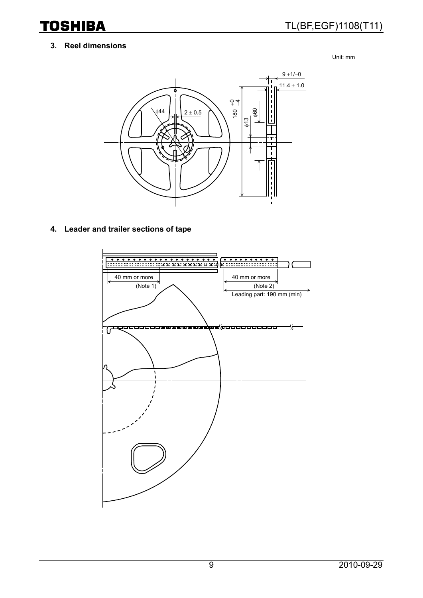**TOSHIBA** 

#### **3. Reel dimensions**

Unit: mm



**4. Leader and trailer sections of tape** 

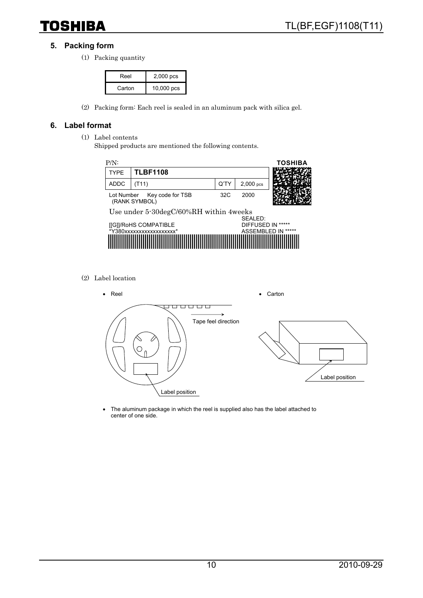## **5. Packing form**

(1) Packing quantity

| Reel   | $2,000$ pcs  |
|--------|--------------|
| Carton | $10,000$ pcs |

(2) Packing form: Each reel is sealed in an aluminum pack with silica gel.

#### **6. Label format**

- (1) Label contents
	- Shipped products are mentioned the following contents.



(2) Label location



• The aluminum package in which the reel is supplied also has the label attached to center of one side.